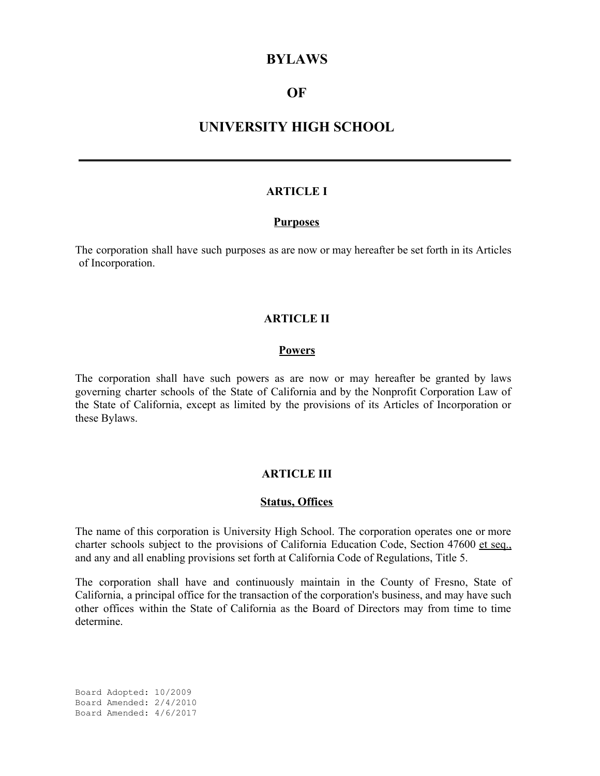### **BYLAWS**

# **OF**

# **UNIVERSITY HIGH SCHOOL**

### **ARTICLE I**

#### **Purposes**

The corporation shall have such purposes as are now or may hereafter be set forth in its Articles of Incorporation.

### **ARTICLE II**

### **Powers**

The corporation shall have such powers as are now or may hereafter be granted by laws governing charter schools of the State of California and by the Nonprofit Corporation Law of the State of California, except as limited by the provisions of its Articles of Incorporation or these Bylaws.

### **ARTICLE III**

#### **Status, Offices**

The name of this corporation is University High School. The corporation operates one or more charter schools subject to the provisions of California Education Code, Section 47600 et seq., and any and all enabling provisions set forth at California Code of Regulations, Title 5.

The corporation shall have and continuously maintain in the County of Fresno, State of California, a principal office for the transaction of the corporation's business, and may have such other offices within the State of California as the Board of Directors may from time to time determine.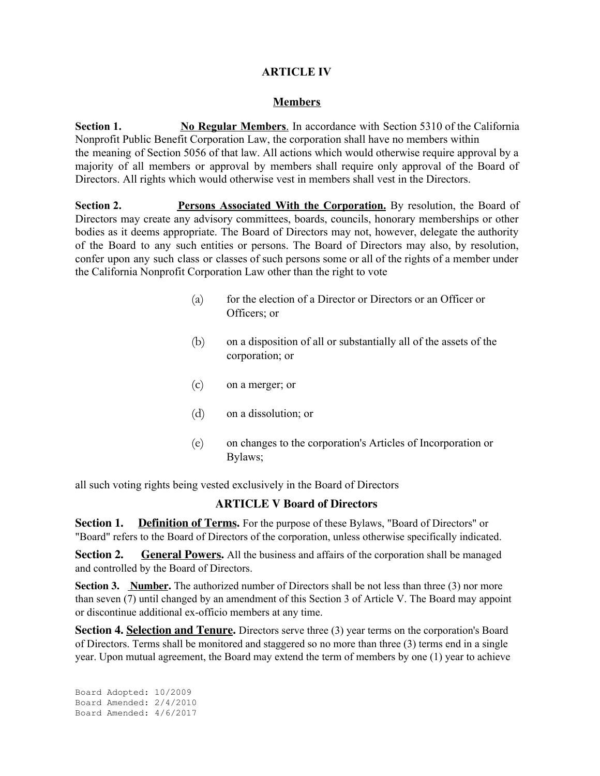## **ARTICLE IV**

### **Members**

**Section 1. No Regular Members**. In accordance with Section 5310 of the California Nonprofit Public Benefit Corporation Law, the corporation shall have no members within the meaning of Section 5056 of that law. All actions which would otherwise require approval by a majority of all members or approval by members shall require only approval of the Board of Directors. All rights which would otherwise vest in members shall vest in the Directors.

**Section 2. Persons Associated With the Corporation.** By resolution, the Board of Directors may create any advisory committees, boards, councils, honorary memberships or other bodies as it deems appropriate. The Board of Directors may not, however, delegate the authority of the Board to any such entities or persons. The Board of Directors may also, by resolution, confer upon any such class or classes of such persons some or all of the rights of a member under the California Nonprofit Corporation Law other than the right to vote

- (a) for the election of a Director or Directors or an Officer or Officers; or
- (b) on a disposition of all or substantially all of the assets of the corporation; or
- (c) on a merger; or
- (d) on a dissolution; or
- (e) on changes to the corporation's Articles of Incorporation or Bylaws;

all such voting rights being vested exclusively in the Board of Directors

### **ARTICLE V Board of Directors**

**Section 1. Definition of Terms.** For the purpose of these Bylaws, "Board of Directors" or "Board" refers to the Board of Directors of the corporation, unless otherwise specifically indicated.

**Section 2.** General **Powers**. All the business and affairs of the corporation shall be managed and controlled by the Board of Directors.

**Section 3. Number.** The authorized number of Directors shall be not less than three (3) nor more than seven (7) until changed by an amendment of this Section 3 of Article V. The Board may appoint or discontinue additional ex-officio members at any time.

**Section 4. Selection and Tenure.** Directors serve three (3) year terms on the corporation's Board of Directors. Terms shall be monitored and staggered so no more than three (3) terms end in a single year. Upon mutual agreement, the Board may extend the term of members by one (1) year to achieve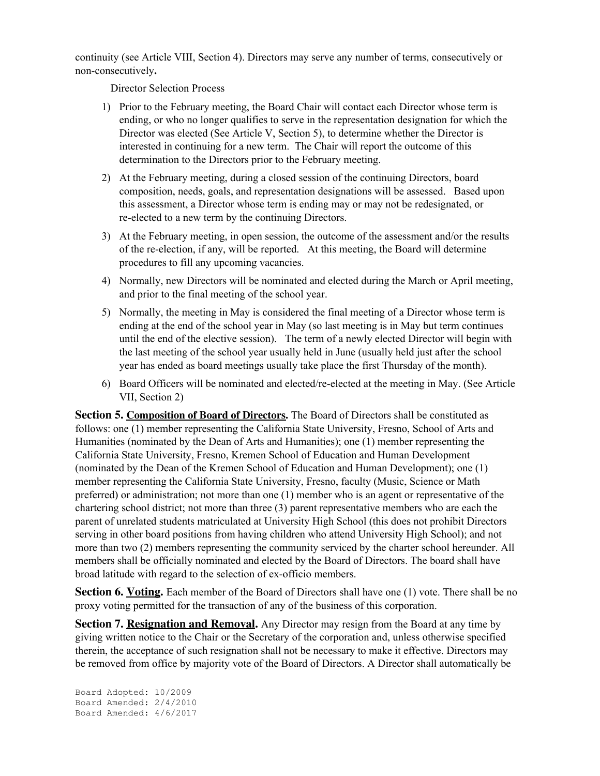continuity (see Article VIII, Section 4). Directors may serve any number of terms, consecutively or non-consecutively**.**

Director Selection Process

- 1) Prior to the February meeting, the Board Chair will contact each Director whose term is ending, or who no longer qualifies to serve in the representation designation for which the Director was elected (See Article V, Section 5), to determine whether the Director is interested in continuing for a new term. The Chair will report the outcome of this determination to the Directors prior to the February meeting.
- 2) At the February meeting, during a closed session of the continuing Directors, board composition, needs, goals, and representation designations will be assessed. Based upon this assessment, a Director whose term is ending may or may not be redesignated, or re-elected to a new term by the continuing Directors.
- 3) At the February meeting, in open session, the outcome of the assessment and/or the results of the re-election, if any, will be reported. At this meeting, the Board will determine procedures to fill any upcoming vacancies.
- 4) Normally, new Directors will be nominated and elected during the March or April meeting, and prior to the final meeting of the school year.
- 5) Normally, the meeting in May is considered the final meeting of a Director whose term is ending at the end of the school year in May (so last meeting is in May but term continues until the end of the elective session). The term of a newly elected Director will begin with the last meeting of the school year usually held in June (usually held just after the school year has ended as board meetings usually take place the first Thursday of the month).
- 6) Board Officers will be nominated and elected/re-elected at the meeting in May. (See Article VII, Section 2)

**Section 5. Composition of Board of Directors.** The Board of Directors shall be constituted as follows: one (1) member representing the California State University, Fresno, School of Arts and Humanities (nominated by the Dean of Arts and Humanities); one (1) member representing the California State University, Fresno, Kremen School of Education and Human Development (nominated by the Dean of the Kremen School of Education and Human Development); one (1) member representing the California State University, Fresno, faculty (Music, Science or Math preferred) or administration; not more than one (1) member who is an agent or representative of the chartering school district; not more than three (3) parent representative members who are each the parent of unrelated students matriculated at University High School (this does not prohibit Directors serving in other board positions from having children who attend University High School); and not more than two (2) members representing the community serviced by the charter school hereunder. All members shall be officially nominated and elected by the Board of Directors. The board shall have broad latitude with regard to the selection of ex-officio members.

**Section 6. Voting.** Each member of the Board of Directors shall have one (1) vote. There shall be no proxy voting permitted for the transaction of any of the business of this corporation.

**Section 7. Resignation and Removal.** Any Director may resign from the Board at any time by giving written notice to the Chair or the Secretary of the corporation and, unless otherwise specified therein, the acceptance of such resignation shall not be necessary to make it effective. Directors may be removed from office by majority vote of the Board of Directors. A Director shall automatically be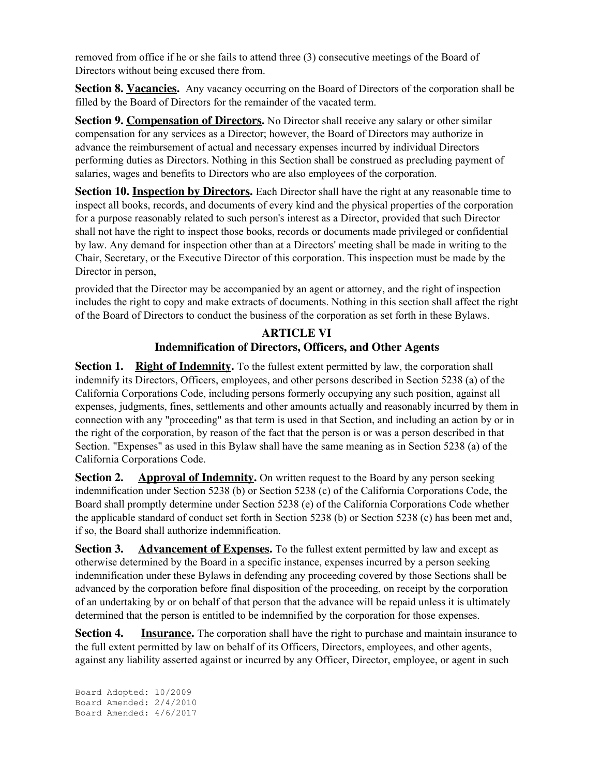removed from office if he or she fails to attend three (3) consecutive meetings of the Board of Directors without being excused there from.

**Section 8. Vacancies.** Any vacancy occurring on the Board of Directors of the corporation shall be filled by the Board of Directors for the remainder of the vacated term.

**Section 9. Compensation of Directors.** No Director shall receive any salary or other similar compensation for any services as a Director; however, the Board of Directors may authorize in advance the reimbursement of actual and necessary expenses incurred by individual Directors performing duties as Directors. Nothing in this Section shall be construed as precluding payment of salaries, wages and benefits to Directors who are also employees of the corporation.

**Section 10. <b>Inspection** by Directors. Each Director shall have the right at any reasonable time to inspect all books, records, and documents of every kind and the physical properties of the corporation for a purpose reasonably related to such person's interest as a Director, provided that such Director shall not have the right to inspect those books, records or documents made privileged or confidential by law. Any demand for inspection other than at a Directors' meeting shall be made in writing to the Chair, Secretary, or the Executive Director of this corporation. This inspection must be made by the Director in person,

provided that the Director may be accompanied by an agent or attorney, and the right of inspection includes the right to copy and make extracts of documents. Nothing in this section shall affect the right of the Board of Directors to conduct the business of the corporation as set forth in these Bylaws.

# **ARTICLE VI Indemnification of Directors, Officers, and Other Agents**

**Section 1. Right of Indemnity.** To the fullest extent permitted by law, the corporation shall indemnify its Directors, Officers, employees, and other persons described in Section 5238 (a) of the California Corporations Code, including persons formerly occupying any such position, against all expenses, judgments, fines, settlements and other amounts actually and reasonably incurred by them in connection with any "proceeding" as that term is used in that Section, and including an action by or in the right of the corporation, by reason of the fact that the person is or was a person described in that Section. "Expenses" as used in this Bylaw shall have the same meaning as in Section 5238 (a) of the California Corporations Code.

**Section 2. Approval of Indemnity.** On written request to the Board by any person seeking indemnification under Section 5238 (b) or Section 5238 (c) of the California Corporations Code, the Board shall promptly determine under Section 5238 (e) of the California Corporations Code whether the applicable standard of conduct set forth in Section 5238 (b) or Section 5238 (c) has been met and, if so, the Board shall authorize indemnification.

**Section 3.** Advancement of **Expenses**. To the fullest extent permitted by law and except as otherwise determined by the Board in a specific instance, expenses incurred by a person seeking indemnification under these Bylaws in defending any proceeding covered by those Sections shall be advanced by the corporation before final disposition of the proceeding, on receipt by the corporation of an undertaking by or on behalf of that person that the advance will be repaid unless it is ultimately determined that the person is entitled to be indemnified by the corporation for those expenses.

**Section 4. Insurance.** The corporation shall have the right to purchase and maintain insurance to the full extent permitted by law on behalf of its Officers, Directors, employees, and other agents, against any liability asserted against or incurred by any Officer, Director, employee, or agent in such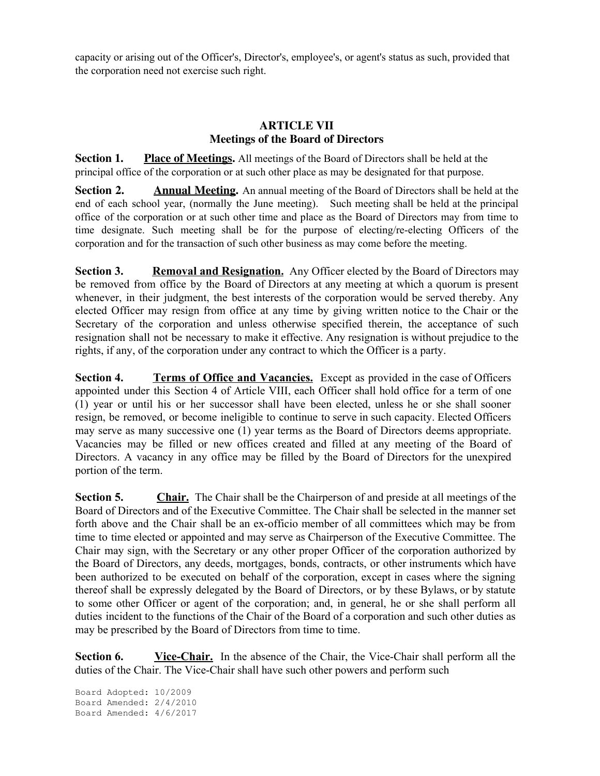capacity or arising out of the Officer's, Director's, employee's, or agent's status as such, provided that the corporation need not exercise such right.

# **ARTICLE VII Meetings of the Board of Directors**

**Section 1. Place of Meetings.** All meetings of the Board of Directors shall be held at the principal office of the corporation or at such other place as may be designated for that purpose.

**Section 2. Annual Meeting.** An annual meeting of the Board of Directors shall be held at the end of each school year, (normally the June meeting). Such meeting shall be held at the principal office of the corporation or at such other time and place as the Board of Directors may from time to time designate. Such meeting shall be for the purpose of electing/re-electing Officers of the corporation and for the transaction of such other business as may come before the meeting.

**Section 3. Removal and Resignation.** Any Officer elected by the Board of Directors may be removed from office by the Board of Directors at any meeting at which a quorum is present whenever, in their judgment, the best interests of the corporation would be served thereby. Any elected Officer may resign from office at any time by giving written notice to the Chair or the Secretary of the corporation and unless otherwise specified therein, the acceptance of such resignation shall not be necessary to make it effective. Any resignation is without prejudice to the rights, if any, of the corporation under any contract to which the Officer is a party.

**Section 4. Terms of Office and Vacancies.** Except as provided in the case of Officers appointed under this Section 4 of Article VIII, each Officer shall hold office for a term of one (1) year or until his or her successor shall have been elected, unless he or she shall sooner resign, be removed, or become ineligible to continue to serve in such capacity. Elected Officers may serve as many successive one (1) year terms as the Board of Directors deems appropriate. Vacancies may be filled or new offices created and filled at any meeting of the Board of Directors. A vacancy in any office may be filled by the Board of Directors for the unexpired portion of the term.

**Section 5. Chair.** The Chair shall be the Chairperson of and preside at all meetings of the Board of Directors and of the Executive Committee. The Chair shall be selected in the manner set forth above and the Chair shall be an ex-officio member of all committees which may be from time to time elected or appointed and may serve as Chairperson of the Executive Committee. The Chair may sign, with the Secretary or any other proper Officer of the corporation authorized by the Board of Directors, any deeds, mortgages, bonds, contracts, or other instruments which have been authorized to be executed on behalf of the corporation, except in cases where the signing thereof shall be expressly delegated by the Board of Directors, or by these Bylaws, or by statute to some other Officer or agent of the corporation; and, in general, he or she shall perform all duties incident to the functions of the Chair of the Board of a corporation and such other duties as may be prescribed by the Board of Directors from time to time.

**Section 6. Vice-Chair.** In the absence of the Chair, the Vice-Chair shall perform all the duties of the Chair. The Vice-Chair shall have such other powers and perform such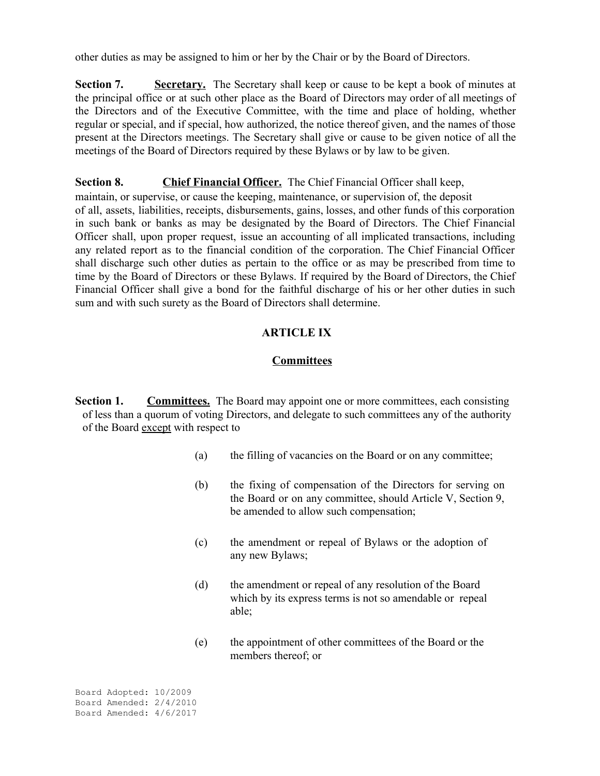other duties as may be assigned to him or her by the Chair or by the Board of Directors.

**Section 7. Secretary.** The Secretary shall keep or cause to be kept a book of minutes at the principal office or at such other place as the Board of Directors may order of all meetings of the Directors and of the Executive Committee, with the time and place of holding, whether regular or special, and if special, how authorized, the notice thereof given, and the names of those present at the Directors meetings. The Secretary shall give or cause to be given notice of all the meetings of the Board of Directors required by these Bylaws or by law to be given.

**Section 8. Chief Financial Officer.** The Chief Financial Officer shall keep,

maintain, or supervise, or cause the keeping, maintenance, or supervision of, the deposit of all, assets, liabilities, receipts, disbursements, gains, losses, and other funds of this corporation in such bank or banks as may be designated by the Board of Directors. The Chief Financial Officer shall, upon proper request, issue an accounting of all implicated transactions, including any related report as to the financial condition of the corporation. The Chief Financial Officer shall discharge such other duties as pertain to the office or as may be prescribed from time to time by the Board of Directors or these Bylaws. If required by the Board of Directors, the Chief Financial Officer shall give a bond for the faithful discharge of his or her other duties in such sum and with such surety as the Board of Directors shall determine.

# **ARTICLE IX**

## **Committees**

**Section 1.** Committees. The Board may appoint one or more committees, each consisting of less than a quorum of voting Directors, and delegate to such committees any of the authority of the Board except with respect to

- (a) the filling of vacancies on the Board or on any committee;
- (b) the fixing of compensation of the Directors for serving on the Board or on any committee, should Article V, Section 9, be amended to allow such compensation;
- (c) the amendment or repeal of Bylaws or the adoption of any new Bylaws;
- (d) the amendment or repeal of any resolution of the Board which by its express terms is not so amendable or repeal able;
- (e) the appointment of other committees of the Board or the members thereof; or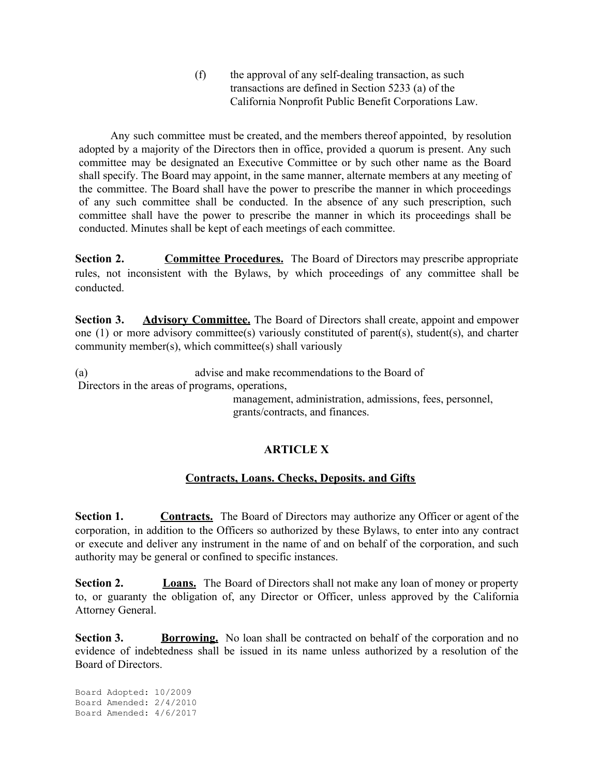(f) the approval of any self-dealing transaction, as such transactions are defined in Section 5233 (a) of the California Nonprofit Public Benefit Corporations Law.

Any such committee must be created, and the members thereof appointed, by resolution adopted by a majority of the Directors then in office, provided a quorum is present. Any such committee may be designated an Executive Committee or by such other name as the Board shall specify. The Board may appoint, in the same manner, alternate members at any meeting of the committee. The Board shall have the power to prescribe the manner in which proceedings of any such committee shall be conducted. In the absence of any such prescription, such committee shall have the power to prescribe the manner in which its proceedings shall be conducted. Minutes shall be kept of each meetings of each committee.

**Section 2. Committee Procedures.** The Board of Directors may prescribe appropriate rules, not inconsistent with the Bylaws, by which proceedings of any committee shall be conducted.

**Section 3. Advisory Committee.** The Board of Directors shall create, appoint and empower one (1) or more advisory committee(s) variously constituted of parent(s), student(s), and charter community member(s), which committee(s) shall variously

(a) advise and make recommendations to the Board of Directors in the areas of programs, operations,

management, administration, admissions, fees, personnel, grants/contracts, and finances.

# **ARTICLE X**

### **Contracts, Loans. Checks, Deposits. and Gifts**

**Section 1. Contracts.** The Board of Directors may authorize any Officer or agent of the corporation, in addition to the Officers so authorized by these Bylaws, to enter into any contract or execute and deliver any instrument in the name of and on behalf of the corporation, and such authority may be general or confined to specific instances.

**Section 2. Loans.** The Board of Directors shall not make any loan of money or property to, or guaranty the obligation of, any Director or Officer, unless approved by the California Attorney General.

**Section 3. <b>Borrowing.** No loan shall be contracted on behalf of the corporation and no evidence of indebtedness shall be issued in its name unless authorized by a resolution of the Board of Directors.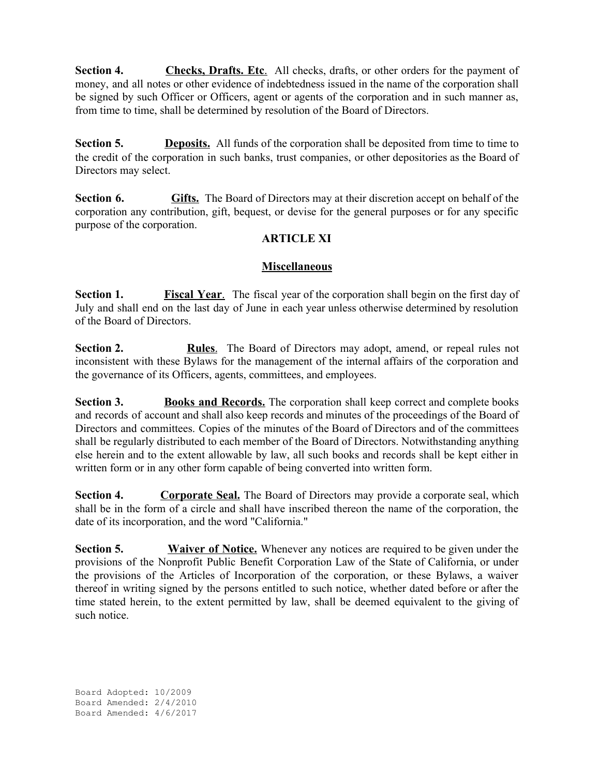**Section 4. Checks, Drafts. Etc**. All checks, drafts, or other orders for the payment of money, and all notes or other evidence of indebtedness issued in the name of the corporation shall be signed by such Officer or Officers, agent or agents of the corporation and in such manner as, from time to time, shall be determined by resolution of the Board of Directors.

**Section 5. Deposits.** All funds of the corporation shall be deposited from time to time to the credit of the corporation in such banks, trust companies, or other depositories as the Board of Directors may select.

**Section 6. Gifts.** The Board of Directors may at their discretion accept on behalf of the corporation any contribution, gift, bequest, or devise for the general purposes or for any specific purpose of the corporation.

## **ARTICLE XI**

### **Miscellaneous**

**Section 1. Fiscal Year**. The fiscal year of the corporation shall begin on the first day of July and shall end on the last day of June in each year unless otherwise determined by resolution of the Board of Directors.

**Section 2. Rules**. The Board of Directors may adopt, amend, or repeal rules not inconsistent with these Bylaws for the management of the internal affairs of the corporation and the governance of its Officers, agents, committees, and employees.

**Section 3. Books and Records**. The corporation shall keep correct and complete books and records of account and shall also keep records and minutes of the proceedings of the Board of Directors and committees. Copies of the minutes of the Board of Directors and of the committees shall be regularly distributed to each member of the Board of Directors. Notwithstanding anything else herein and to the extent allowable by law, all such books and records shall be kept either in written form or in any other form capable of being converted into written form.

**Section 4. Corporate Seal.** The Board of Directors may provide a corporate seal, which shall be in the form of a circle and shall have inscribed thereon the name of the corporation, the date of its incorporation, and the word "California."

**Section 5.** Waiver of Notice. Whenever any notices are required to be given under the provisions of the Nonprofit Public Benefit Corporation Law of the State of California, or under the provisions of the Articles of Incorporation of the corporation, or these Bylaws, a waiver thereof in writing signed by the persons entitled to such notice, whether dated before or after the time stated herein, to the extent permitted by law, shall be deemed equivalent to the giving of such notice.